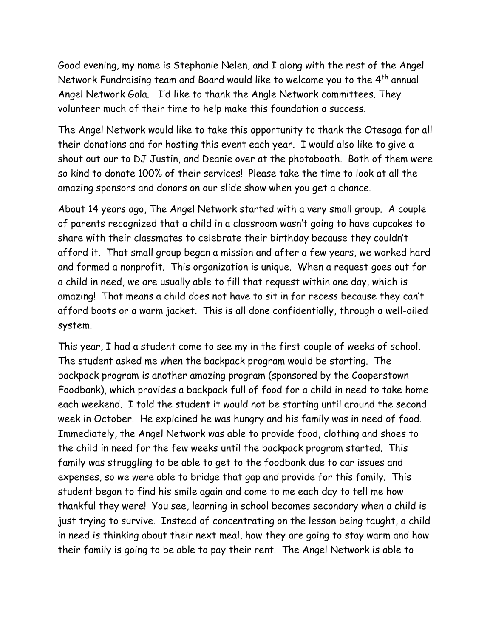Good evening, my name is Stephanie Nelen, and I along with the rest of the Angel Network Fundraising team and Board would like to welcome you to the 4<sup>th</sup> annual Angel Network Gala. I'd like to thank the Angle Network committees. They volunteer much of their time to help make this foundation a success.

The Angel Network would like to take this opportunity to thank the Otesaga for all their donations and for hosting this event each year. I would also like to give a shout out our to DJ Justin, and Deanie over at the photobooth. Both of them were so kind to donate 100% of their services! Please take the time to look at all the amazing sponsors and donors on our slide show when you get a chance.

About 14 years ago, The Angel Network started with a very small group. A couple of parents recognized that a child in a classroom wasn't going to have cupcakes to share with their classmates to celebrate their birthday because they couldn't afford it. That small group began a mission and after a few years, we worked hard and formed a nonprofit. This organization is unique. When a request goes out for a child in need, we are usually able to fill that request within one day, which is amazing! That means a child does not have to sit in for recess because they can't afford boots or a warm jacket. This is all done confidentially, through a well-oiled system.

This year, I had a student come to see my in the first couple of weeks of school. The student asked me when the backpack program would be starting. The backpack program is another amazing program (sponsored by the Cooperstown Foodbank), which provides a backpack full of food for a child in need to take home each weekend. I told the student it would not be starting until around the second week in October. He explained he was hungry and his family was in need of food. Immediately, the Angel Network was able to provide food, clothing and shoes to the child in need for the few weeks until the backpack program started. This family was struggling to be able to get to the foodbank due to car issues and expenses, so we were able to bridge that gap and provide for this family. This student began to find his smile again and come to me each day to tell me how thankful they were! You see, learning in school becomes secondary when a child is just trying to survive. Instead of concentrating on the lesson being taught, a child in need is thinking about their next meal, how they are going to stay warm and how their family is going to be able to pay their rent. The Angel Network is able to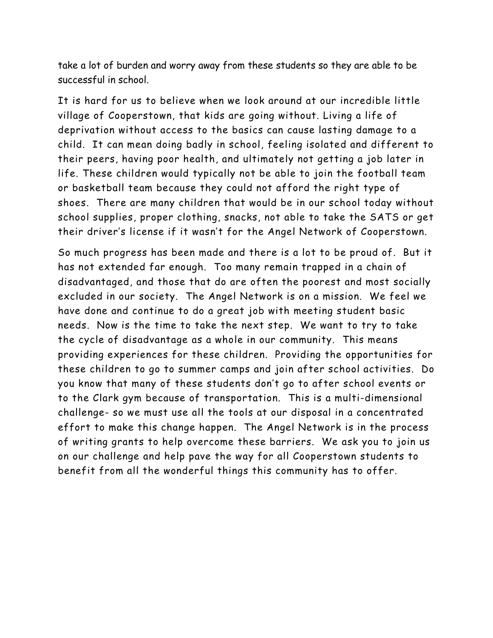take a lot of burden and worry away from these students so they are able to be successful in school.

It is hard for us to believe when we look around at our incredible little village of Cooperstown, that kids are going without. Living a life of deprivation without access to the basics can cause lasting damage to a child. It can mean doing badly in school, feeling isolated and different to their peers, having poor health, and ultimately not getting a job later in life. These children would typically not be able to join the football team or basketball team because they could not afford the right type of shoes. There are many children that would be in our school today without school supplies, proper clothing, snacks, not able to take the SATS or get their driver's license if it wasn't for the Angel Network of Cooperstown.

So much progress has been made and there is a lot to be proud of. But it has not extended far enough. Too many remain trapped in a chain of disadvantaged, and those that do are often the poorest and most socially excluded in our society. The Angel Network is on a mission. We feel we have done and continue to do a great job with meeting student basic needs. Now is the time to take the next step. We want to try to take the cycle of disadvantage as a whole in our community. This means providing experiences for these children. Providing the opportunities for these children to go to summer camps and join after school activities. Do you know that many of these students don't go to after school events or to the Clark gym because of transportation. This is a multi-dimensional challenge- so we must use all the tools at our disposal in a concentrated effort to make this change happen. The Angel Network is in the process of writing grants to help overcome these barriers. We ask you to join us on our challenge and help pave the way for all Cooperstown students to benefit from all the wonderful things this community has to offer.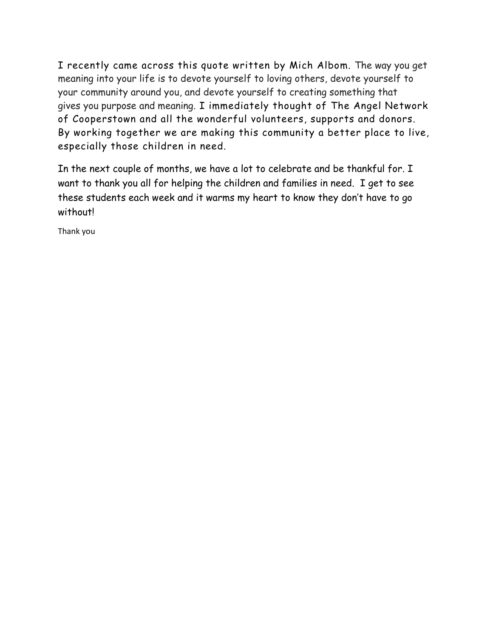I recently came across this quote written by Mich Albom. The way you get meaning into your life is to devote yourself to loving others, devote yourself to your community around you, and devote yourself to creating something that gives you purpose and meaning. I immediately thought of The Angel Network of Cooperstown and all the wonderful volunteers, supports and donors. By working together we are making this community a better place to live, especially those children in need.

In the next couple of months, we have a lot to celebrate and be thankful for. I want to thank you all for helping the children and families in need. I get to see these students each week and it warms my heart to know they don't have to go without!

Thank you